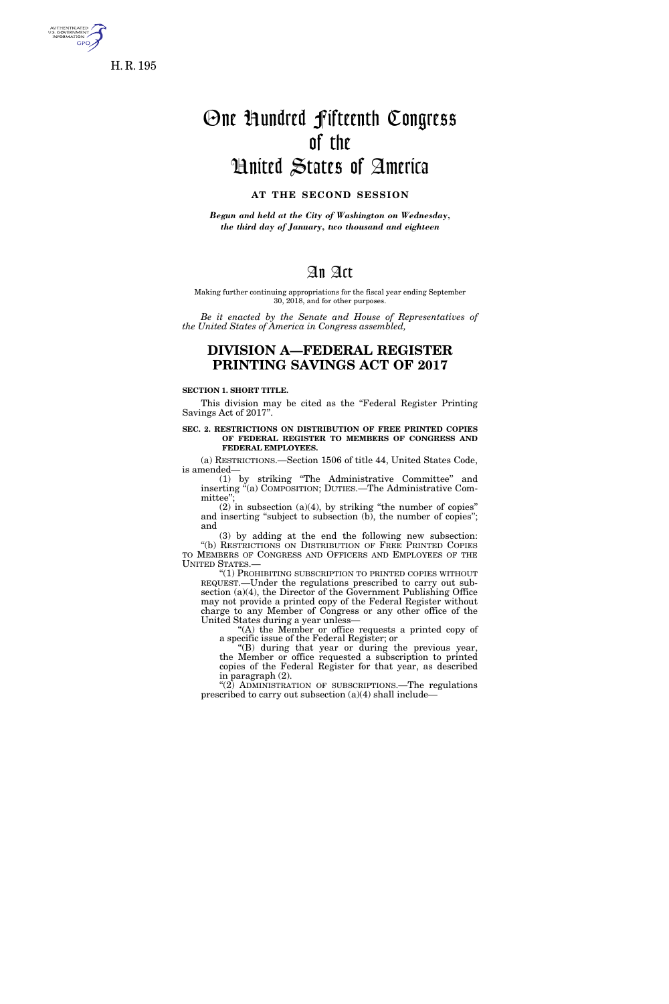

**GPO** 

# One Hundred Fifteenth Congress of the United States of America

### **AT THE SECOND SESSION**

*Begun and held at the City of Washington on Wednesday, the third day of January, two thousand and eighteen* 

# An Act

Making further continuing appropriations for the fiscal year ending September 30, 2018, and for other purposes.

*Be it enacted by the Senate and House of Representatives of the United States of America in Congress assembled,* 

# **DIVISION A—FEDERAL REGISTER PRINTING SAVINGS ACT OF 2017**

#### **SECTION 1. SHORT TITLE.**

This division may be cited as the "Federal Register Printing" Savings Act of 2017''.

#### **SEC. 2. RESTRICTIONS ON DISTRIBUTION OF FREE PRINTED COPIES OF FEDERAL REGISTER TO MEMBERS OF CONGRESS AND FEDERAL EMPLOYEES.**

(a) RESTRICTIONS.—Section 1506 of title 44, United States Code, is amended—

(1) by striking ''The Administrative Committee'' and inserting ''(a) COMPOSITION; DUTIES.—The Administrative Committee"

 $(2)$  in subsection  $(a)(4)$ , by striking "the number of copies" and inserting "subject to subsection (b), the number of copies"; and

(3) by adding at the end the following new subsection: ''(b) RESTRICTIONS ON DISTRIBUTION OF FREE PRINTED COPIES TO MEMBERS OF CONGRESS AND OFFICERS AND EMPLOYEES OF THE UNITED STATES.—

''(1) PROHIBITING SUBSCRIPTION TO PRINTED COPIES WITHOUT REQUEST.—Under the regulations prescribed to carry out subsection (a)(4), the Director of the Government Publishing Office may not provide a printed copy of the Federal Register without charge to any Member of Congress or any other office of the United States during a year unless—

''(A) the Member or office requests a printed copy of a specific issue of the Federal Register; or

''(B) during that year or during the previous year, the Member or office requested a subscription to printed copies of the Federal Register for that year, as described in paragraph (2).

"(2) ADMINISTRATION OF SUBSCRIPTIONS.—The regulations prescribed to carry out subsection (a)(4) shall include—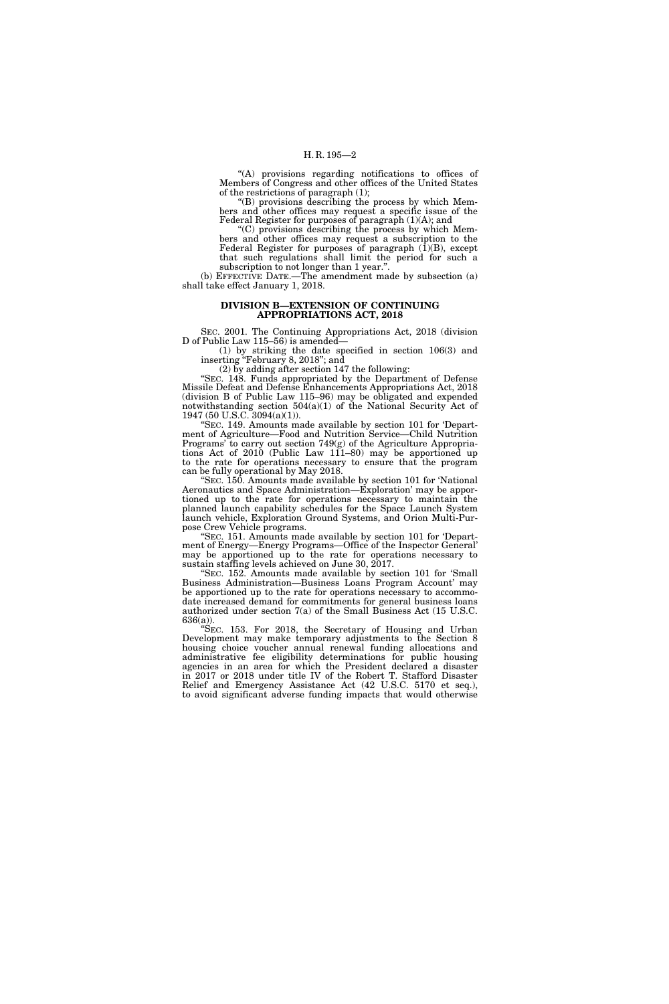''(A) provisions regarding notifications to offices of Members of Congress and other offices of the United States of the restrictions of paragraph (1);

''(B) provisions describing the process by which Members and other offices may request a specific issue of the Federal Register for purposes of paragraph (1)(A); and

''(C) provisions describing the process by which Members and other offices may request a subscription to the Federal Register for purposes of paragraph  $(1)(B)$ , except that such regulations shall limit the period for such a subscription to not longer than 1 year."

(b) EFFECTIVE DATE.—The amendment made by subsection (a) shall take effect January 1, 2018.

#### **DIVISION B—EXTENSION OF CONTINUING APPROPRIATIONS ACT, 2018**

SEC. 2001. The Continuing Appropriations Act, 2018 (division D of Public Law 115–56) is amended—

(1) by striking the date specified in section 106(3) and inserting ''February 8, 2018''; and

(2) by adding after section 147 the following:

''SEC. 148. Funds appropriated by the Department of Defense Missile Defeat and Defense Enhancements Appropriations Act, 2018 (division B of Public Law 115–96) may be obligated and expended notwithstanding section  $504(a)(1)$  of the National Security Act of 1947 (50 U.S.C. 3094(a)(1)).

''SEC. 149. Amounts made available by section 101 for 'Department of Agriculture—Food and Nutrition Service—Child Nutrition Programs' to carry out section 749(g) of the Agriculture Appropriations Act of 2010 (Public Law 111–80) may be apportioned up to the rate for operations necessary to ensure that the program can be fully operational by May 2018.

'SEC. 150. Amounts made available by section 101 for 'National Aeronautics and Space Administration—Exploration' may be apportioned up to the rate for operations necessary to maintain the planned launch capability schedules for the Space Launch System launch vehicle, Exploration Ground Systems, and Orion Multi-Purpose Crew Vehicle programs.

"SEC. 151. Amounts made available by section 101 for 'Department of Energy—Energy Programs—Office of the Inspector General' may be apportioned up to the rate for operations necessary to sustain staffing levels achieved on June 30, 2017.

'SEC. 152. Amounts made available by section 101 for 'Small Business Administration—Business Loans Program Account' may be apportioned up to the rate for operations necessary to accommodate increased demand for commitments for general business loans authorized under section 7(a) of the Small Business Act (15 U.S.C. 636(a)).

''SEC. 153. For 2018, the Secretary of Housing and Urban Development may make temporary adjustments to the Section 8 housing choice voucher annual renewal funding allocations and administrative fee eligibility determinations for public housing agencies in an area for which the President declared a disaster in 2017 or 2018 under title IV of the Robert T. Stafford Disaster Relief and Emergency Assistance Act (42 U.S.C. 5170 et seq.), to avoid significant adverse funding impacts that would otherwise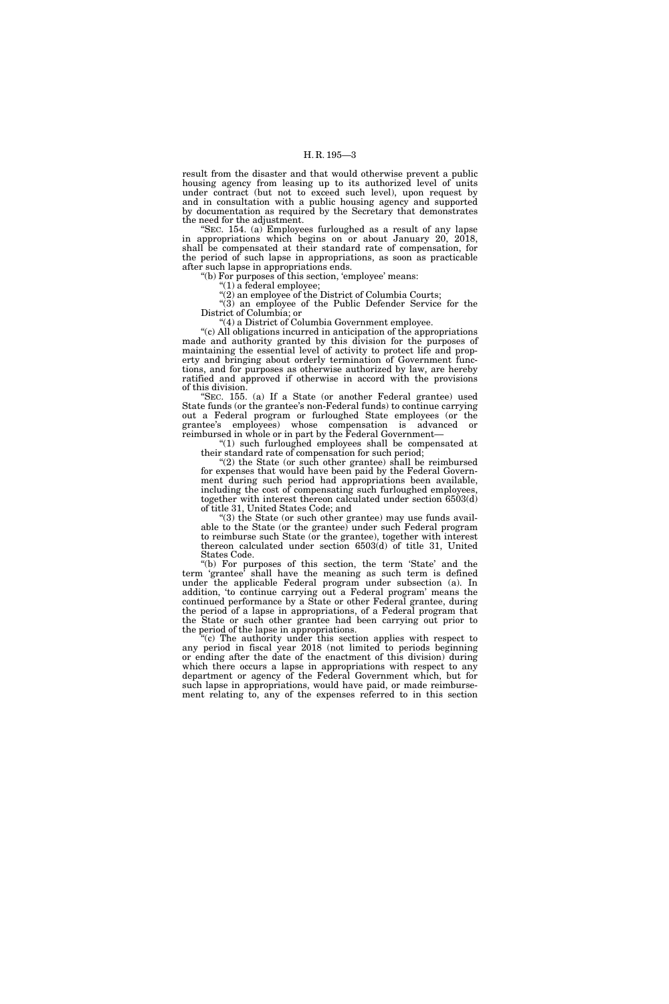result from the disaster and that would otherwise prevent a public housing agency from leasing up to its authorized level of units under contract (but not to exceed such level), upon request by and in consultation with a public housing agency and supported by documentation as required by the Secretary that demonstrates the need for the adjustment.

'SEC. 154. (a) Employees furloughed as a result of any lapse in appropriations which begins on or about January 20, 2018, shall be compensated at their standard rate of compensation, for the period of such lapse in appropriations, as soon as practicable after such lapse in appropriations ends.

''(b) For purposes of this section, 'employee' means:

''(1) a federal employee;

''(2) an employee of the District of Columbia Courts;

"(3) an employee of the Public Defender Service for the District of Columbia; or

''(4) a District of Columbia Government employee.

''(c) All obligations incurred in anticipation of the appropriations made and authority granted by this division for the purposes of maintaining the essential level of activity to protect life and property and bringing about orderly termination of Government functions, and for purposes as otherwise authorized by law, are hereby ratified and approved if otherwise in accord with the provisions of this division.

SEC. 155. (a) If a State (or another Federal grantee) used State funds (or the grantee's non-Federal funds) to continue carrying out a Federal program or furloughed State employees (or the grantee's employees) whose compensation is advanced or reimbursed in whole or in part by the Federal Government—

''(1) such furloughed employees shall be compensated at their standard rate of compensation for such period;

''(2) the State (or such other grantee) shall be reimbursed for expenses that would have been paid by the Federal Government during such period had appropriations been available, including the cost of compensating such furloughed employees, together with interest thereon calculated under section 6503(d) of title 31, United States Code; and

 $(3)$  the State (or such other grantee) may use funds available to the State (or the grantee) under such Federal program to reimburse such State (or the grantee), together with interest thereon calculated under section 6503(d) of title 31, United States Code.

"(b) For purposes of this section, the term 'State' and the term 'grantee' shall have the meaning as such term is defined under the applicable Federal program under subsection (a). In addition, 'to continue carrying out a Federal program' means the continued performance by a State or other Federal grantee, during the period of a lapse in appropriations, of a Federal program that the State or such other grantee had been carrying out prior to the period of the lapse in appropriations.

''(c) The authority under this section applies with respect to any period in fiscal year 2018 (not limited to periods beginning or ending after the date of the enactment of this division) during which there occurs a lapse in appropriations with respect to any department or agency of the Federal Government which, but for such lapse in appropriations, would have paid, or made reimbursement relating to, any of the expenses referred to in this section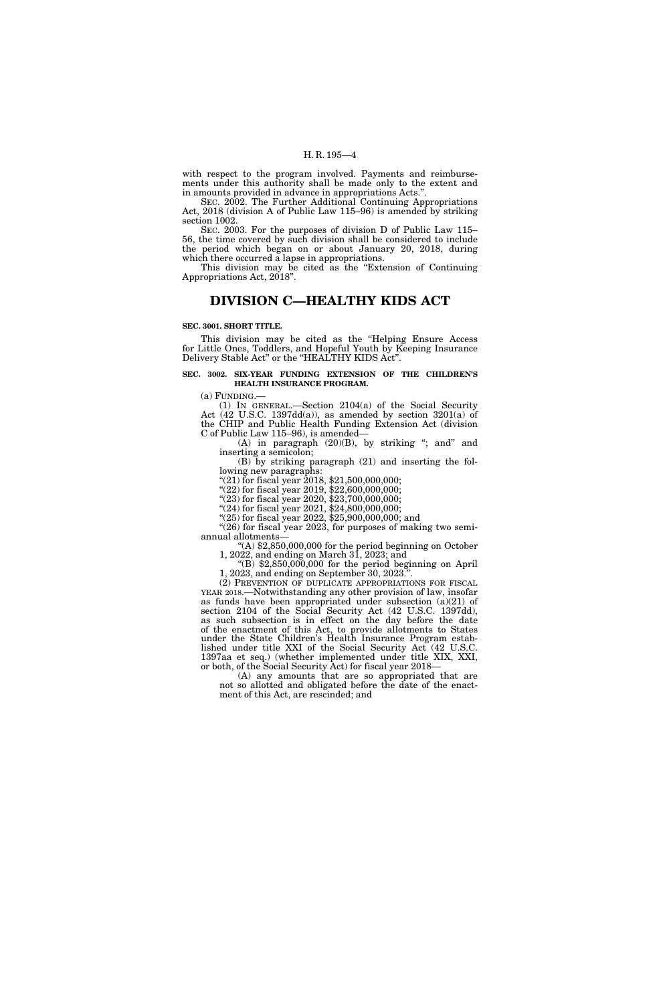with respect to the program involved. Payments and reimbursements under this authority shall be made only to the extent and in amounts provided in advance in appropriations Acts.''.

SEC. 2002. The Further Additional Continuing Appropriations Act, 2018 (division A of Public Law 115–96) is amended by striking section 1002.

SEC. 2003. For the purposes of division D of Public Law 115– 56, the time covered by such division shall be considered to include the period which began on or about January 20, 2018, during which there occurred a lapse in appropriations.

This division may be cited as the "Extension of Continuing" Appropriations Act, 2018''.

# **DIVISION C—HEALTHY KIDS ACT**

#### **SEC. 3001. SHORT TITLE.**

This division may be cited as the "Helping Ensure Access for Little Ones, Toddlers, and Hopeful Youth by Keeping Insurance Delivery Stable Act" or the "HEALTHY KIDS Act".

#### **SEC. 3002. SIX-YEAR FUNDING EXTENSION OF THE CHILDREN'S HEALTH INSURANCE PROGRAM.**

(a) FUNDING.—

(1) IN GENERAL.—Section 2104(a) of the Social Security Act (42 U.S.C. 1397dd(a)), as amended by section  $3201(a)$  of the CHIP and Public Health Funding Extension Act (division C of Public Law 115–96), is amended—

(A) in paragraph  $(20)(B)$ , by striking "; and" and inserting a semicolon;

(B) by striking paragraph (21) and inserting the following new paragraphs:

"(21) for fiscal year  $2018$ , \$21,500,000,000;

''(22) for fiscal year 2019, \$22,600,000,000;

"(23) for fiscal year 2020, \$23,700,000,000;

''(24) for fiscal year 2021, \$24,800,000,000; ''(25) for fiscal year 2022, \$25,900,000,000; and

"(26) for fiscal year 2023, for purposes of making two semiannual allotments—

''(A) \$2,850,000,000 for the period beginning on October 1, 2022, and ending on March 31, 2023; and

 $^{22}$ (B) \$2,850,000,000 for the period beginning on April 1, 2023, and ending on September 30, 2023.

(2) PREVENTION OF DUPLICATE APPROPRIATIONS FOR FISCAL YEAR 2018.—Notwithstanding any other provision of law, insofar as funds have been appropriated under subsection (a)(21) of section 2104 of the Social Security Act (42 U.S.C. 1397dd), as such subsection is in effect on the day before the date of the enactment of this Act, to provide allotments to States under the State Children's Health Insurance Program established under title XXI of the Social Security Act (42 U.S.C. 1397aa et seq.) (whether implemented under title XIX, XXI, or both, of the Social Security Act) for fiscal year 2018—

(A) any amounts that are so appropriated that are not so allotted and obligated before the date of the enactment of this Act, are rescinded; and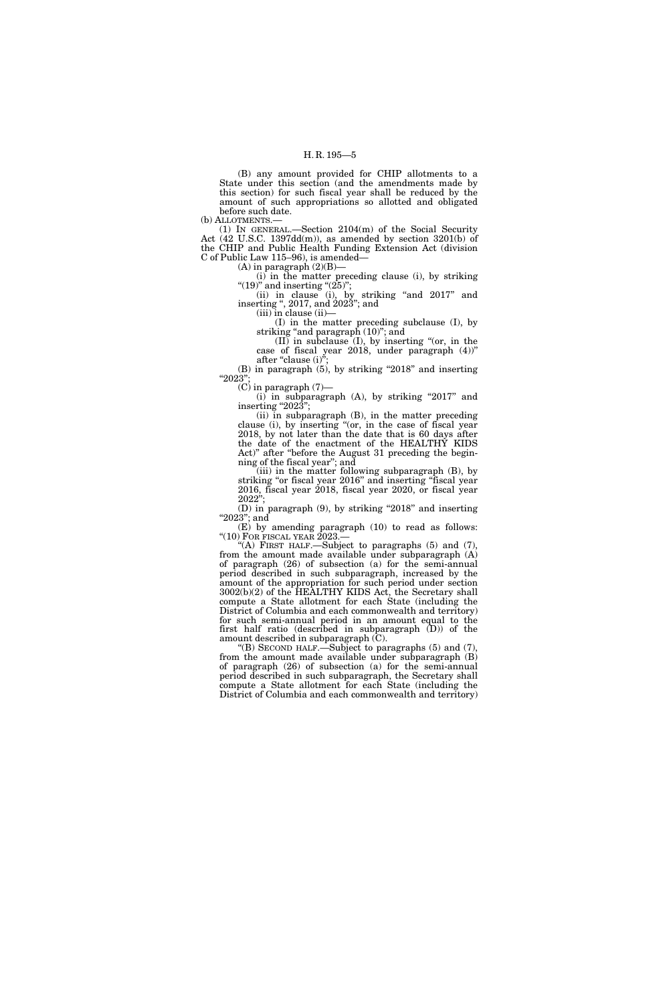(B) any amount provided for CHIP allotments to a State under this section (and the amendments made by this section) for such fiscal year shall be reduced by the amount of such appropriations so allotted and obligated before such date.

(b) ALLOTMENTS.—

(1) IN GENERAL.—Section 2104(m) of the Social Security Act (42 U.S.C. 1397dd(m)), as amended by section 3201(b) of the CHIP and Public Health Funding Extension Act (division C of Public Law 115–96), is amended—

 $(A)$  in paragraph  $(2)(B)$ 

(i) in the matter preceding clause (i), by striking "(19)" and inserting " $(25)$ ";

(ii) in clause (i), by striking ''and 2017'' and inserting '', 2017, and 2023''; and

(iii) in clause (ii)—

(I) in the matter preceding subclause (I), by striking ''and paragraph (10)''; and

 $(II)$  in subclause  $(I)$ , by inserting " $(or, in the)$ case of fiscal year 2018, under paragraph (4))'' after "clause  $(i)$ ";

(B) in paragraph (5), by striking "2018" and inserting ''2023'';

 $(C)$  in paragraph  $(7)$ —

 $(i)$  in subparagraph  $(A)$ , by striking "2017" and inserting "202 $3$ ";

(ii) in subparagraph (B), in the matter preceding clause (i), by inserting ''(or, in the case of fiscal year 2018, by not later than the date that is 60 days after the date of the enactment of the HEALTHY KIDS Act)'' after ''before the August 31 preceding the beginning of the fiscal year''; and

(iii) in the matter following subparagraph (B), by striking ''or fiscal year 2016'' and inserting ''fiscal year 2016, fiscal year 2018, fiscal year 2020, or fiscal year 2022'';

(D) in paragraph (9), by striking ''2018'' and inserting "2023"; and

(E) by amending paragraph (10) to read as follows: " $(10)$  For fiscal year 2023.—

"(A) FIRST HALF.—Subject to paragraphs  $(5)$  and  $(7)$ , from the amount made available under subparagraph (A) of paragraph (26) of subsection (a) for the semi-annual period described in such subparagraph, increased by the amount of the appropriation for such period under section 3002(b)(2) of the HEALTHY KIDS Act, the Secretary shall compute a State allotment for each State (including the District of Columbia and each commonwealth and territory) for such semi-annual period in an amount equal to the first half ratio (described in subparagraph (D)) of the amount described in subparagraph (C).

"(B) SECOND HALF.—Subject to paragraphs  $(5)$  and  $(7)$ from the amount made available under subparagraph (B) of paragraph (26) of subsection (a) for the semi-annual period described in such subparagraph, the Secretary shall compute a State allotment for each State (including the District of Columbia and each commonwealth and territory)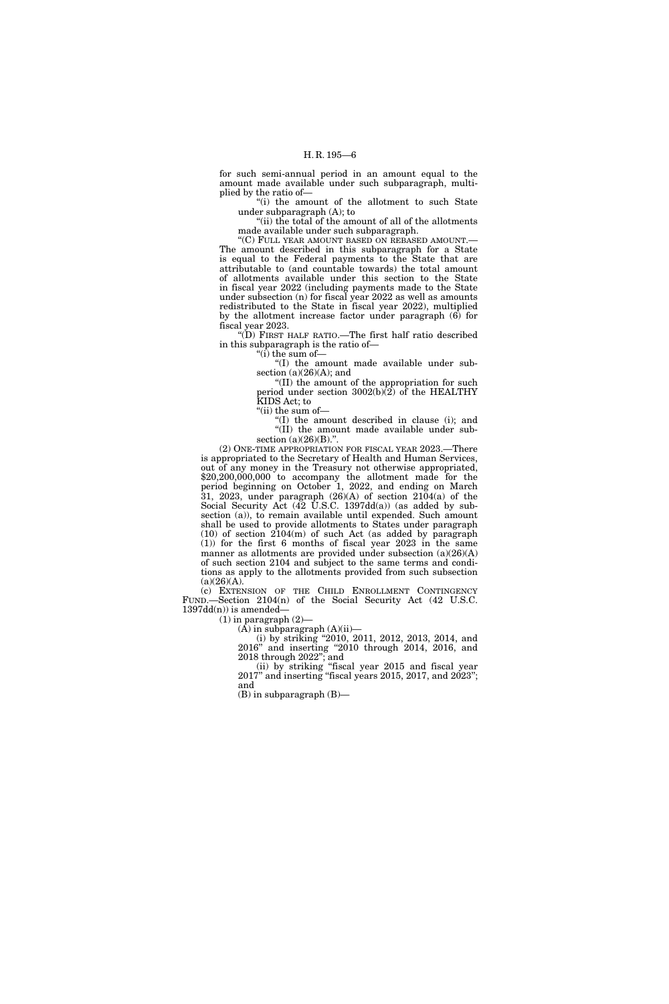for such semi-annual period in an amount equal to the amount made available under such subparagraph, multiplied by the ratio of—

''(i) the amount of the allotment to such State under subparagraph (A); to

"(ii) the total of the amount of all of the allotments made available under such subparagraph.

''(C) FULL YEAR AMOUNT BASED ON REBASED AMOUNT.— The amount described in this subparagraph for a State is equal to the Federal payments to the State that are attributable to (and countable towards) the total amount of allotments available under this section to the State in fiscal year 2022 (including payments made to the State under subsection (n) for fiscal year 2022 as well as amounts redistributed to the State in fiscal year 2022), multiplied by the allotment increase factor under paragraph (6) for fiscal year 2023.

''(D) FIRST HALF RATIO.—The first half ratio described in this subparagraph is the ratio of—

 $\mathrm{``(i)}$  the sum of—

''(I) the amount made available under subsection  $(a)(26)(A)$ ; and

''(II) the amount of the appropriation for such period under section 3002(b)(2) of the HEALTHY KIDS Act; to

"(ii) the sum of-

''(I) the amount described in clause (i); and ''(II) the amount made available under subsection  $(a)(26)(B)$ .".

(2) ONE-TIME APPROPRIATION FOR FISCAL YEAR 2023.—There is appropriated to the Secretary of Health and Human Services, out of any money in the Treasury not otherwise appropriated, \$20,200,000,000 to accompany the allotment made for the period beginning on October 1, 2022, and ending on March 31, 2023, under paragraph (26)(A) of section 2104(a) of the Social Security Act (42 U.S.C. 1397dd(a)) (as added by subsection (a)), to remain available until expended. Such amount shall be used to provide allotments to States under paragraph (10) of section 2104(m) of such Act (as added by paragraph (1)) for the first 6 months of fiscal year 2023 in the same manner as allotments are provided under subsection (a)(26)(A) of such section 2104 and subject to the same terms and conditions as apply to the allotments provided from such subsection  $(a)(26)(A).$ 

(c) EXTENSION OF THE CHILD ENROLLMENT CONTINGENCY FUND.—Section 2104(n) of the Social Security Act (42 U.S.C.  $1397dd(n)$  is amended-

 $(1)$  in paragraph  $(2)$ —

 $(A)$  in subparagraph  $(A)(ii)$ —

(i) by striking ''2010, 2011, 2012, 2013, 2014, and 2016'' and inserting ''2010 through 2014, 2016, and 2018 through 2022''; and

(ii) by striking ''fiscal year 2015 and fiscal year  $2017$ " and inserting "fiscal years  $2015$ ,  $2017$ , and  $2023$ "; and

(B) in subparagraph (B)—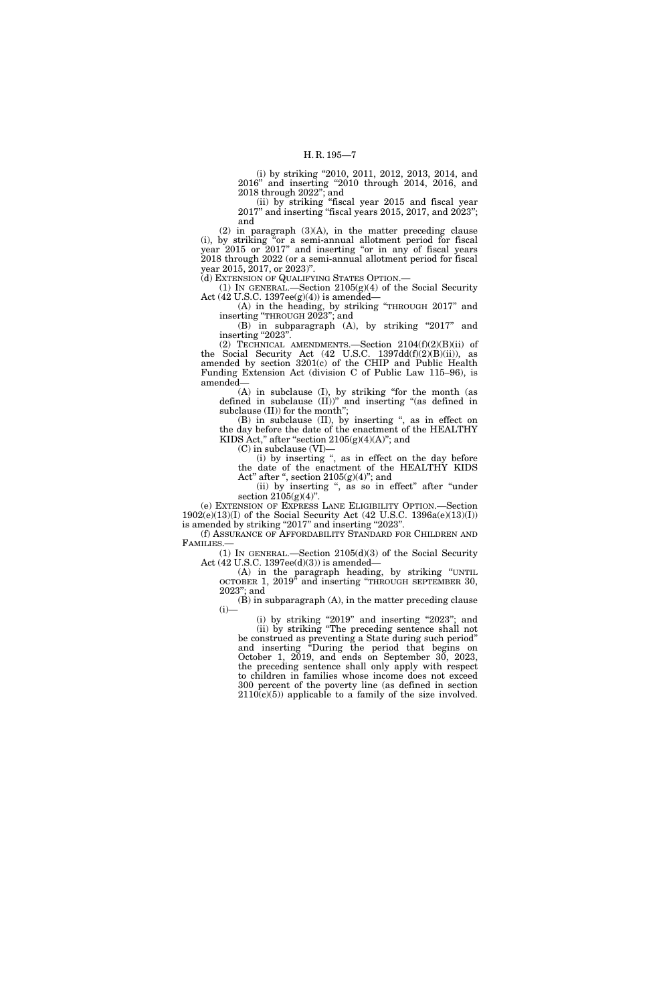(i) by striking ''2010, 2011, 2012, 2013, 2014, and 2016'' and inserting ''2010 through 2014, 2016, and 2018 through 2022''; and

(ii) by striking ''fiscal year 2015 and fiscal year 2017'' and inserting ''fiscal years 2015, 2017, and 2023''; and

(2) in paragraph (3)(A), in the matter preceding clause (i), by striking ''or a semi-annual allotment period for fiscal year 2015 or 2017'' and inserting ''or in any of fiscal years 2018 through 2022 (or a semi-annual allotment period for fiscal year 2015, 2017, or 2023)''.

(d) EXTENSION OF QUALIFYING STATES OPTION.—

(1) IN GENERAL.—Section  $2105(g)(4)$  of the Social Security Act (42 U.S.C. 1397ee(g)(4)) is amended—

(A) in the heading, by striking ''THROUGH 2017'' and inserting ''THROUGH 2023''; and

(B) in subparagraph (A), by striking "2017" and inserting "2023".

(2) TECHNICAL AMENDMENTS.—Section 2104(f)(2)(B)(ii) of the Social Security Act (42 U.S.C. 1397dd(f)(2)(B)(ii)), as amended by section 3201(c) of the CHIP and Public Health Funding Extension Act (division C of Public Law 115–96), is amended—

(A) in subclause (I), by striking ''for the month (as defined in subclause (II))'' and inserting ''(as defined in subclause (II)) for the month'';

(B) in subclause (II), by inserting ", as in effect on the day before the date of the enactment of the HEALTHY KIDS Act," after "section  $2105(g)(4)(A)$ "; and

(C) in subclause (VI)—

(i) by inserting '', as in effect on the day before the date of the enactment of the HEALTHY KIDS Act" after ", section  $2105(g)(4)$ "; and

(ii) by inserting ", as so in effect" after "under section  $2105(g)(4)$ ".

(e) EXTENSION OF EXPRESS LANE ELIGIBILITY OPTION.—Section 1902(e)(13)(I) of the Social Security Act (42 U.S.C. 1396a(e)(13)(I)) is amended by striking "2017" and inserting "2023".

(f) ASSURANCE OF AFFORDABILITY STANDARD FOR CHILDREN AND FAMILIES.—

(1) IN GENERAL.—Section 2105(d)(3) of the Social Security Act (42 U.S.C. 1397ee(d)(3)) is amended—

(A) in the paragraph heading, by striking ''UNTIL OCTOBER 1, 2019<sup>5</sup> and inserting "THROUGH SEPTEMBER 30, 2023''; and

(B) in subparagraph (A), in the matter preceding clause  $(i)$ —

 $(i)$  by striking "2019" and inserting "2023"; and (ii) by striking ''The preceding sentence shall not be construed as preventing a State during such period'' and inserting ''During the period that begins on October 1, 2019, and ends on September 30, 2023, the preceding sentence shall only apply with respect to children in families whose income does not exceed 300 percent of the poverty line (as defined in section  $2110(c)(5)$  applicable to a family of the size involved.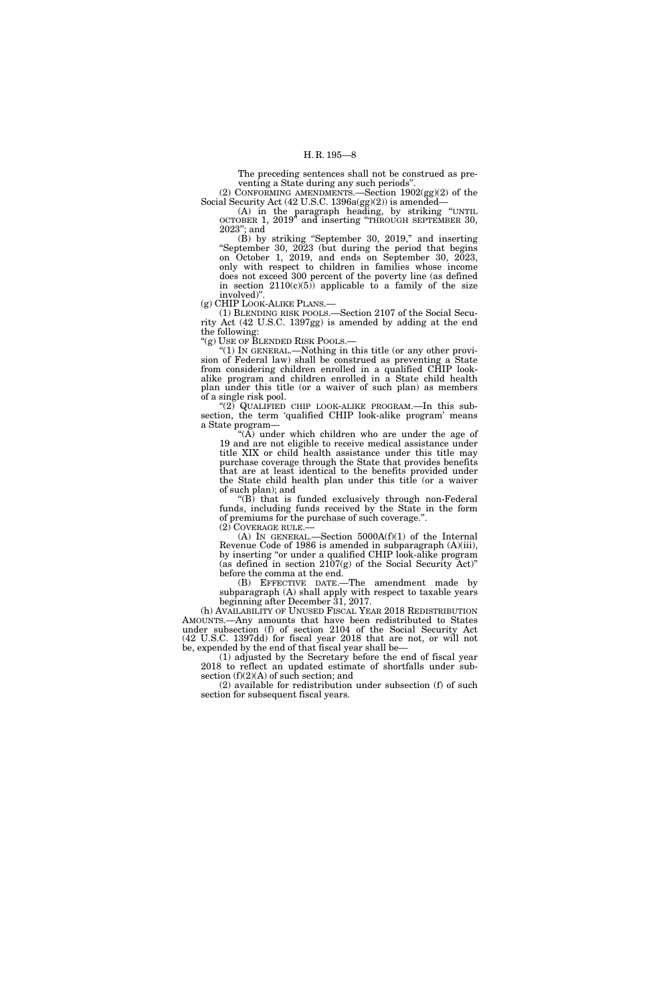The preceding sentences shall not be construed as preventing a State during any such periods''. (2) CONFORMING AMENDMENTS.—Section 1902(gg)(2) of the

Social Security Act (42 U.S.C. 1396a(gg)(2)) is amended—

(A) in the paragraph heading, by striking ''UNTIL OCTOBER 1, 2019'' and inserting ''THROUGH SEPTEMBER 30, 2023''; and

 $(\dot{B})$  by striking "September 30, 2019," and inserting ''September 30, 2023 (but during the period that begins on October 1, 2019, and ends on September 30, 2023, only with respect to children in families whose income does not exceed 300 percent of the poverty line (as defined in section  $2110(c)(5)$  applicable to a family of the size involved)''.

(g) CHIP LOOK-ALIKE PLANS.—

(1) BLENDING RISK POOLS.—Section 2107 of the Social Security Act (42 U.S.C. 1397gg) is amended by adding at the end the following:

"(g) USE OF BLENDED RISK POOLS.—

" $(1)$  In GENERAL.—Nothing in this title (or any other provision of Federal law) shall be construed as preventing a State from considering children enrolled in a qualified CHIP lookalike program and children enrolled in a State child health plan under this title (or a waiver of such plan) as members of a single risk pool.

 $(2)$  QUALIFIED CHIP LOOK-ALIKE PROGRAM.—In this subsection, the term 'qualified CHIP look-alike program' means a State program—

''(A) under which children who are under the age of 19 and are not eligible to receive medical assistance under title XIX or child health assistance under this title may purchase coverage through the State that provides benefits that are at least identical to the benefits provided under the State child health plan under this title (or a waiver of such plan); and

''(B) that is funded exclusively through non-Federal funds, including funds received by the State in the form of premiums for the purchase of such coverage.''. (2) COVERAGE RULE.—

(A) IN GENERAL.—Section 5000A(f)(1) of the Internal Revenue Code of 1986 is amended in subparagraph (A)(iii), by inserting ''or under a qualified CHIP look-alike program (as defined in section 2107(g) of the Social Security Act)'' before the comma at the end.

(B) EFFECTIVE DATE.—The amendment made by subparagraph (A) shall apply with respect to taxable years beginning after December 31, 2017.

(h) AVAILABILITY OF UNUSED FISCAL YEAR 2018 REDISTRIBUTION AMOUNTS.—Any amounts that have been redistributed to States under subsection (f) of section 2104 of the Social Security Act (42 U.S.C. 1397dd) for fiscal year 2018 that are not, or will not be, expended by the end of that fiscal year shall be—

(1) adjusted by the Secretary before the end of fiscal year 2018 to reflect an updated estimate of shortfalls under subsection (f)(2)(A) of such section; and

(2) available for redistribution under subsection (f) of such section for subsequent fiscal years.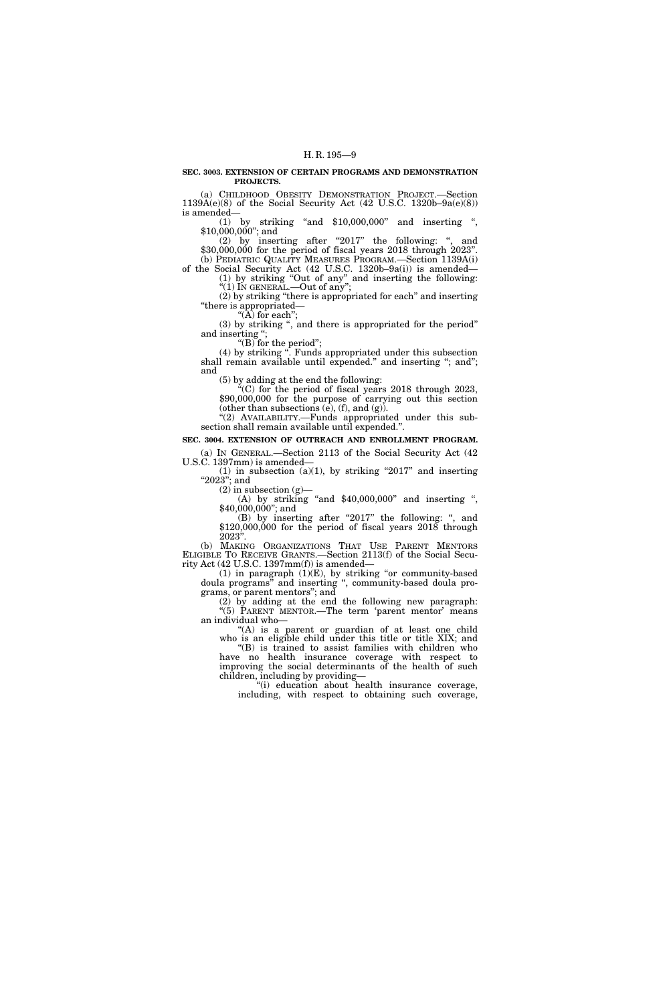#### **SEC. 3003. EXTENSION OF CERTAIN PROGRAMS AND DEMONSTRATION PROJECTS.**

(a) CHILDHOOD OBESITY DEMONSTRATION PROJECT.—Section 1139A(e)(8) of the Social Security Act (42 U.S.C. 1320b–9a(e)(8)) is amended—

(1) by striking ''and \$10,000,000'' and inserting '', \$10,000,000''; and

(2) by inserting after "2017" the following: ", and \$30,000,000 for the period of fiscal years 2018 through 2023''. (b) PEDIATRIC QUALITY MEASURES PROGRAM.—Section 1139A(i)

of the Social Security Act (42 U.S.C. 1320b–9a(i)) is amended— (1) by striking ''Out of any'' and inserting the following: " $(1)$  In GENERAL.—Out of any";

(2) by striking ''there is appropriated for each'' and inserting ''there is appropriated—

" $(\tilde{A})$  for each"; (3) by striking '', and there is appropriated for the period'' and inserting '';

''(B) for the period'';

(4) by striking ''. Funds appropriated under this subsection shall remain available until expended.'' and inserting ''; and''; and

(5) by adding at the end the following:

''(C) for the period of fiscal years 2018 through 2023, \$90,000,000 for the purpose of carrying out this section (other than subsections  $(e)$ ,  $(f)$ , and  $(g)$ ). "(2) AVAILABILITY.—Funds appropriated under this sub-

section shall remain available until expended.''.

**SEC. 3004. EXTENSION OF OUTREACH AND ENROLLMENT PROGRAM.**  (a) IN GENERAL.—Section 2113 of the Social Security Act (42

U.S.C. 1397mm) is amended— (1) in subsection (a)(1), by striking "2017" and inserting "2023"; and

 $(2)$  in subsection  $(g)$ 

(A) by striking "and  $$40,000,000$ " and inserting ", \$40,000,000"; and

(B) by inserting after "2017" the following: ", and \$120,000,000 for the period of fiscal years 2018 through 2023''.

(b) MAKING ORGANIZATIONS THAT USE PARENT MENTORS ELIGIBLE TO RECEIVE GRANTS.—Section 2113(f) of the Social Security Act (42 U.S.C. 1397mm(f)) is amended—

 $(1)$  in paragraph  $(1)(E)$ , by striking "or community-based doula programs'' and inserting '', community-based doula programs, or parent mentors''; and

(2) by adding at the end the following new paragraph: "(5) PARENT MENTOR.—The term 'parent mentor' means an individual who—

''(A) is a parent or guardian of at least one child who is an eligible child under this title or title XIX; and

''(B) is trained to assist families with children who have no health insurance coverage with respect to improving the social determinants of the health of such children, including by providing—

''(i) education about health insurance coverage, including, with respect to obtaining such coverage,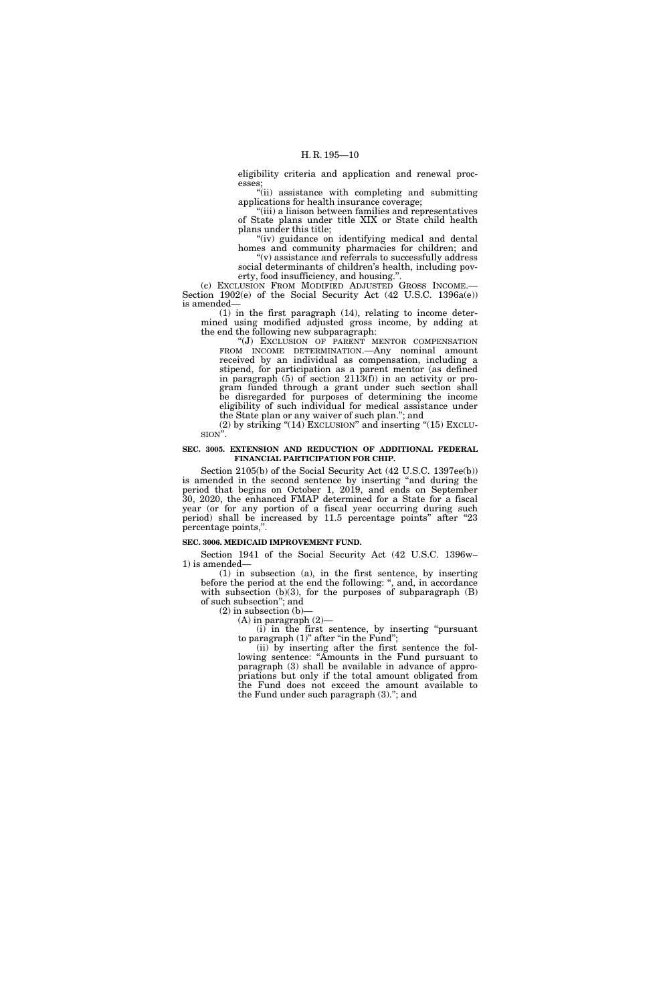eligibility criteria and application and renewal processes;

''(ii) assistance with completing and submitting applications for health insurance coverage;

''(iii) a liaison between families and representatives of State plans under title XIX or State child health plans under this title;

"(iv) guidance on identifying medical and dental homes and community pharmacies for children; and ''(v) assistance and referrals to successfully address

social determinants of children's health, including poverty, food insufficiency, and housing.''.

(c) EXCLUSION FROM MODIFIED ADJUSTED GROSS INCOME.— Section 1902(e) of the Social Security Act (42 U.S.C. 1396a(e)) is amended—

(1) in the first paragraph (14), relating to income determined using modified adjusted gross income, by adding at the end the following new subparagraph:

''(J) EXCLUSION OF PARENT MENTOR COMPENSATION FROM INCOME DETERMINATION.—Any nominal amount received by an individual as compensation, including a stipend, for participation as a parent mentor (as defined in paragraph (5) of section 2113(f)) in an activity or program funded through a grant under such section shall be disregarded for purposes of determining the income eligibility of such individual for medical assistance under the State plan or any waiver of such plan.''; and

(2) by striking " $(14)$  EXCLUSION" and inserting " $(15)$  EXCLU-SION''.

#### **SEC. 3005. EXTENSION AND REDUCTION OF ADDITIONAL FEDERAL FINANCIAL PARTICIPATION FOR CHIP.**

Section 2105(b) of the Social Security Act (42 U.S.C. 1397ee(b)) is amended in the second sentence by inserting ''and during the period that begins on October 1, 2019, and ends on September 30, 2020, the enhanced FMAP determined for a State for a fiscal year (or for any portion of a fiscal year occurring during such period) shall be increased by 11.5 percentage points'' after ''23 percentage points,''.

#### **SEC. 3006. MEDICAID IMPROVEMENT FUND.**

Section 1941 of the Social Security Act (42 U.S.C. 1396w– 1) is amended—

(1) in subsection (a), in the first sentence, by inserting before the period at the end the following: '', and, in accordance with subsection  $(b)(3)$ , for the purposes of subparagraph  $(B)$ of such subsection''; and

 $(2)$  in subsection  $(b)$ – (A) in paragraph (2)—

(i) in the first sentence, by inserting ''pursuant to paragraph (1)" after "in the Fund";

(ii) by inserting after the first sentence the following sentence: ''Amounts in the Fund pursuant to paragraph (3) shall be available in advance of appropriations but only if the total amount obligated from the Fund does not exceed the amount available to the Fund under such paragraph (3).''; and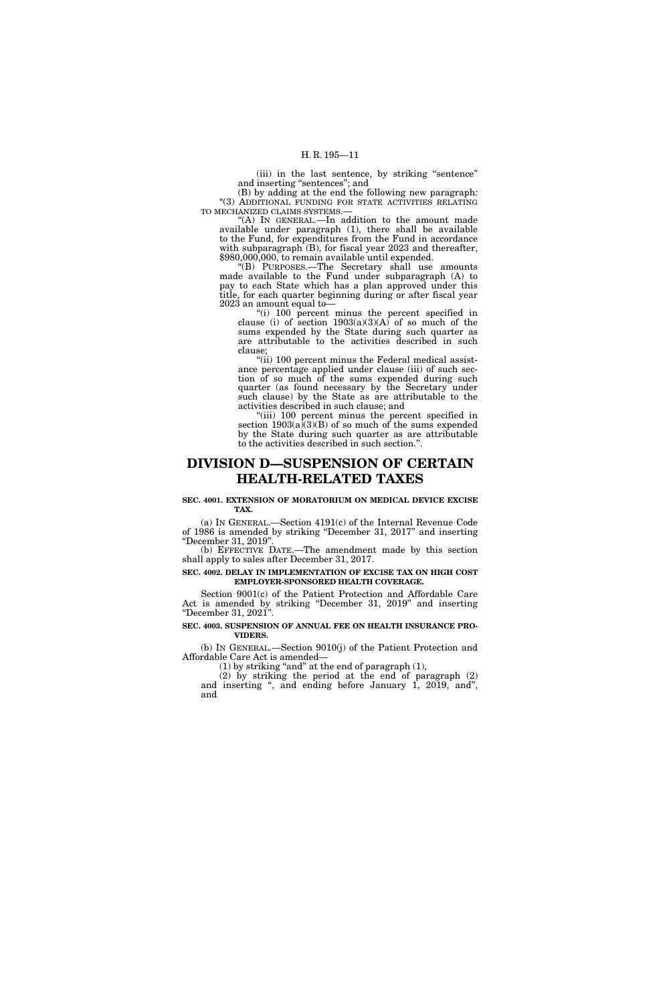(iii) in the last sentence, by striking "sentence" and inserting "sentences"; and

(B) by adding at the end the following new paragraph: "(3) ADDITIONAL FUNDING FOR STATE ACTIVITIES RELATING TO MECHANIZED CLAIMS SYSTEMS.—

''(A) IN GENERAL.—In addition to the amount made available under paragraph (1), there shall be available to the Fund, for expenditures from the Fund in accordance with subparagraph (B), for fiscal year 2023 and thereafter, \$980,000,000, to remain available until expended.

''(B) PURPOSES.—The Secretary shall use amounts made available to the Fund under subparagraph (A) to pay to each State which has a plan approved under this title, for each quarter beginning during or after fiscal year 2023 an amount equal to—

''(i) 100 percent minus the percent specified in clause (i) of section  $1903(a)(3)(A)$  of so much of the sums expended by the State during such quarter as are attributable to the activities described in such clause;

"(ii) 100 percent minus the Federal medical assistance percentage applied under clause (iii) of such section of so much of the sums expended during such quarter (as found necessary by the Secretary under such clause) by the State as are attributable to the activities described in such clause; and

''(iii) 100 percent minus the percent specified in section  $1903(a)(3)(B)$  of so much of the sums expended by the State during such quarter as are attributable to the activities described in such section.''.

# **DIVISION D—SUSPENSION OF CERTAIN HEALTH-RELATED TAXES**

#### **SEC. 4001. EXTENSION OF MORATORIUM ON MEDICAL DEVICE EXCISE TAX.**

(a) IN GENERAL.—Section 4191(c) of the Internal Revenue Code of 1986 is amended by striking ''December 31, 2017'' and inserting ''December 31, 2019''.

(b) EFFECTIVE DATE.—The amendment made by this section shall apply to sales after December 31, 2017.

#### **SEC. 4002. DELAY IN IMPLEMENTATION OF EXCISE TAX ON HIGH COST EMPLOYER-SPONSORED HEALTH COVERAGE.**

Section 9001(c) of the Patient Protection and Affordable Care Act is amended by striking ''December 31, 2019'' and inserting ''December 31, 2021''.

#### **SEC. 4003. SUSPENSION OF ANNUAL FEE ON HEALTH INSURANCE PRO-VIDERS.**

(b) IN GENERAL.—Section 9010(j) of the Patient Protection and Affordable Care Act is amended—

(1) by striking "and" at the end of paragraph  $(1)$ ,

(2) by striking the period at the end of paragraph (2) and inserting '', and ending before January 1, 2019, and'', and